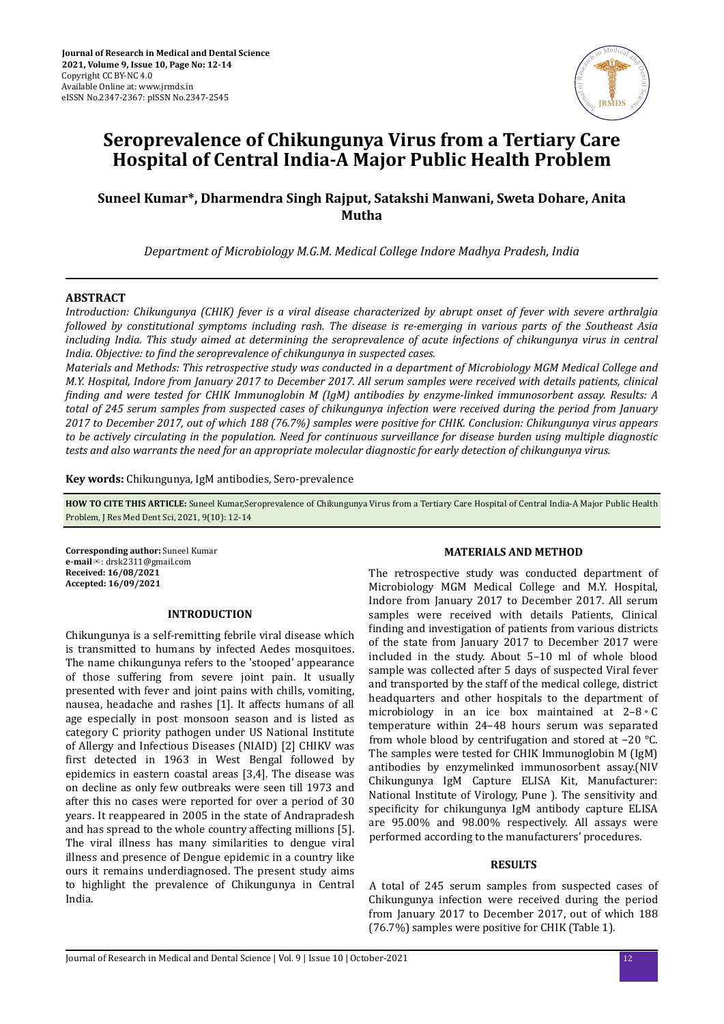

# **Seroprevalence of Chikungunya Virus from a Tertiary Care Hospital of Central India-A Major Public Health Problem**

# **Suneel Kumar\*, Dharmendra Singh Rajput, Satakshi Manwani, Sweta Dohare, Anita Mutha**

*Department of Microbiology M.G.M. Medical College Indore Madhya Pradesh, India*

#### **ABSTRACT**

*Introduction: Chikungunya (CHIK) fever is a viral disease characterized by abrupt onset of fever with severe arthralgia followed by constitutional symptoms including rash. The disease is re-emerging in various parts of the Southeast Asia including India. This study aimed at determining the seroprevalence of acute infections of chikungunya virus in central India. Objective: to find the seroprevalence of chikungunya in suspected cases.* 

*Materials and Methods: This retrospective study was conducted in a department of Microbiology MGM Medical College and M.Y. Hospital, Indore from January 2017 to December 2017. All serum samples were received with details patients, clinical ϔ and were tested for CHIK Immunoglobin M (IgM) antibodies by enzyme-linked immunosorbent assay. Results: A total of 245 serum samples from suspected cases of chikungunya infection were received during the period from January 2017 to December 2017, out of which 188 (76.7%) samples were positive for CHIK. Conclusion: Chikungunya virus appears to be actively circulating in the population. Need for continuous surveillance for disease burden using multiple diagnostic tests and also warrants the need for an appropriate molecular diagnostic for early detection of chikungunya virus.*

**Key words:** Chikungunya, IgM antibodies, Sero-prevalence

**HOW TO CITE THIS ARTICLE:** Suneel Kumar,Seroprevalence of Chikungunya Virus from a Tertiary Care Hospital of Central India-A Major Public Health Problem, J Res Med Dent Sci, 2021, 9(10): 12-14

**Corresponding author:** Suneel Kumar **e-mail**✉: drsk2311@gmail.com **Received: 16/08/2021 Accepted: 16/09/2021** 

#### **INTRODUCTION**

Chikungunya is a self-remitting febrile viral disease which is transmitted to humans by infected Aedes mosquitoes. The name chikungunya refers to the 'stooped' appearance of those suffering from severe joint pain. It usually presented with fever and joint pains with chills, vomiting, nausea, headache and rashes [1]. It affects humans of all age especially in post monsoon season and is listed as category C priority pathogen under US National Institute of Allergy and Infectious Diseases (NIAID) [2] CHIKV was first detected in 1963 in West Bengal followed by epidemics in eastern coastal areas [3,4]. The disease was on decline as only few outbreaks were seen till 1973 and after this no cases were reported for over a period of 30 years. It reappeared in 2005 in the state of Andrapradesh and has spread to the whole country affecting millions [5]. The viral illness has many similarities to dengue viral illness and presence of Dengue epidemic in a country like ours it remains underdiagnosed. The present study aims to highlight the prevalence of Chikungunya in Central India.

#### **MATERIALS AND METHOD**

The retrospective study was conducted department of Microbiology MGM Medical College and M.Y. Hospital, Indore from January 2017 to December 2017. All serum samples were received with details Patients, Clinical finding and investigation of patients from various districts of the state from January 2017 to December 2017 were included in the study. About 5–10 ml of whole blood sample was collected after 5 days of suspected Viral fever and transported by the staff of the medical college, district headquarters and other hospitals to the department of microbiology in an ice box maintained at 2–8◦C temperature within 24–48 hours serum was separated from whole blood by centrifugation and stored at −20 °C. The samples were tested for CHIK Immunoglobin M (IgM) antibodies by enzymelinked immunosorbent assay.(NIV Chikungunya IgM Capture ELISA Kit, Manufacturer: National Institute of Virology, Pune ). The sensitivity and specificity for chikungunya IgM antibody capture ELISA are 95.00% and 98.00% respectively. All assays were performed according to the manufacturers' procedures.

#### **RESULTS**

A total of 245 serum samples from suspected cases of Chikungunya infection were received during the period from January 2017 to December 2017, out of which 188 (76.7%) samples were positive for CHIK (Table 1).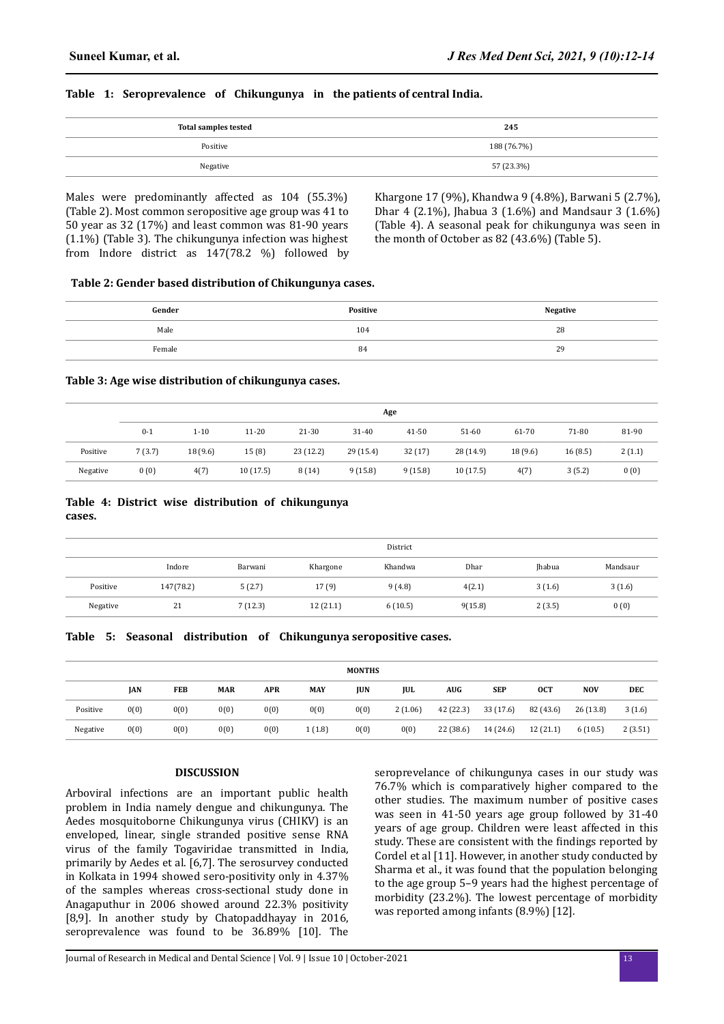## **Table 1: Seroprevalence of Chikungunya in the patients of central India.**

| <b>Total samples tested</b> | 245         |
|-----------------------------|-------------|
| Positive                    | 188 (76.7%) |
| Negative                    | 57 (23.3%)  |

Males were predominantly affected as 104 (55.3%) (Table 2). Most common seropositive age group was 41 to 50 year as 32 (17%) and least common was 81-90 years (1.1%) (Table 3). The chikungunya infection was highest from Indore district as 147(78.2 %) followed by Khargone 17 (9%), Khandwa 9 (4.8%), Barwani 5 (2.7%), Dhar 4 (2.1%), Jhabua 3 (1.6%) and Mandsaur 3 (1.6%) (Table 4). A seasonal peak for chikungunya was seen in the month of October as 82 (43.6%) (Table 5).

#### **Table 2: Gender based distribution of Chikungunya cases.**

| Gender | <b>Positive</b> | <b>Negative</b> |
|--------|-----------------|-----------------|
| Male   | 104             | 28              |
| Female | 84              | 29              |

#### **Table 3: Age wise distribution of chikungunya cases.**

|          | Age     |          |           |          |           |           |           |         |         |        |
|----------|---------|----------|-----------|----------|-----------|-----------|-----------|---------|---------|--------|
|          | $0 - 1$ | $1 - 10$ | $11 - 20$ | 21-30    | $31 - 40$ | $41 - 50$ | $51-60$   | 61-70   | 71-80   | 81-90  |
| Positive | 7(3.7)  | 18(9.6)  | 15(8)     | 23(12.2) | 29(15.4)  | 32(17)    | 28 (14.9) | 18(9.6) | 16(8.5) | 2(1.1) |
| Negative | 0(0)    | 4(7)     | 10(17.5)  | 8(14)    | 9(15.8)   | 9(15.8)   | 10(17.5)  | 4(7)    | 3(5.2)  | 0(0)   |

#### **Table 4: District wise distribution of chikungunya cases.**

|          | District  |         |          |         |         |               |          |  |
|----------|-----------|---------|----------|---------|---------|---------------|----------|--|
|          | Indore    | Barwani | Khargone | Khandwa | Dhar    | <b>Ihabua</b> | Mandsaur |  |
| Positive | 147(78.2) | 5(2.7)  | 17(9)    | 9(4.8)  | 4(2.1)  | 3(1.6)        | 3(1.6)   |  |
| Negative | 21        | 7(12.3) | 12(21.1) | 6(10.5) | 9(15.8) | 2(3.5)        | 0(0)     |  |

#### **Table 5: Seasonal distribution of Chikungunya seropositive cases.**

| <b>MONTHS</b> |      |            |            |            |            |            |         |           |            |            |            |         |
|---------------|------|------------|------------|------------|------------|------------|---------|-----------|------------|------------|------------|---------|
|               | JAN  | <b>FEB</b> | <b>MAR</b> | <b>APR</b> | <b>MAY</b> | <b>JUN</b> | JUL     | AUG       | <b>SEP</b> | <b>OCT</b> | <b>NOV</b> | DEC     |
| Positive      | 0(0) | 0(0)       | 0(0)       | 0(0)       | 0(0)       | 0(0)       | 2(1.06) | 42 (22.3) | 33 (17.6)  | 82 (43.6)  | 26(13.8)   | 3(1.6)  |
| Negative      | 0(0) | 0(0)       | 0(0)       | 0(0)       | (1.8)      | 0(0)       | 0(0)    | 22 (38.6) | 14 (24.6)  | 12(21.1)   | 6(10.5)    | 2(3.51) |

#### **DISCUSSION**

Arboviral infections are an important public health problem in India namely dengue and chikungunya. The Aedes mosquitoborne Chikungunya virus (CHIKV) is an enveloped, linear, single stranded positive sense RNA virus of the family Togaviridae transmitted in India, primarily by Aedes et al. [6,7]. The serosurvey conducted in Kolkata in 1994 showed sero-positivity only in 4.37% of the samples whereas cross-sectional study done in Anagaputhur in 2006 showed around 22.3% positivity [8,9]. In another study by Chatopaddhayay in 2016, seroprevalence was found to be 36.89% [10]. The seroprevelance of chikungunya cases in our study was 76.7% which is comparatively higher compared to the other studies. The maximum number of positive cases was seen in 41-50 years age group followed by 31-40 years of age group. Children were least affected in this study. These are consistent with the findings reported by Cordel et al [11]. However, in another study conducted by Sharma et al., it was found that the population belonging to the age group 5–9 years had the highest percentage of morbidity (23.2%). The lowest percentage of morbidity was reported among infants (8.9%) [12].